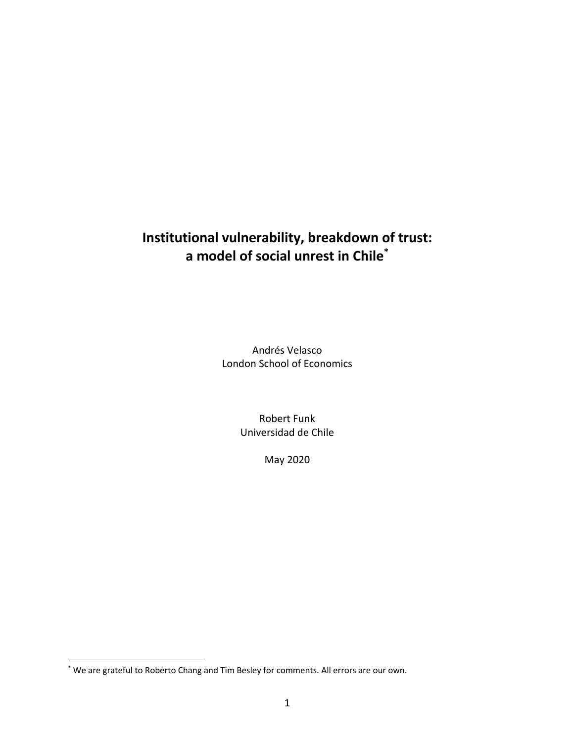# **Institutional vulnerability, breakdown of trust: a model of social unrest in Chile\***

Andrés Velasco London School of Economics

> Robert Funk Universidad de Chile

> > May 2020

<sup>\*</sup> We are grateful to Roberto Chang and Tim Besley for comments. All errors are our own.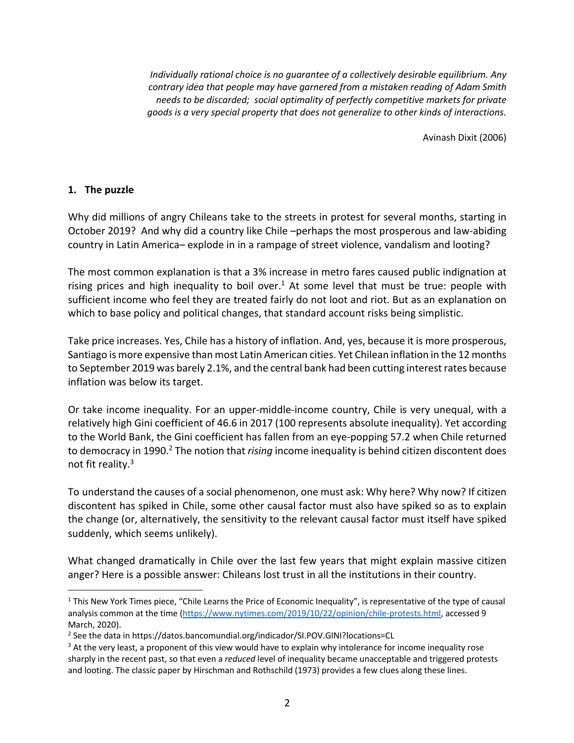*Individually rational choice is no guarantee of a collectively desirable equilibrium. Any contrary idea that people may have garnered from a mistaken reading of Adam Smith needs to be discarded; social optimality of perfectly competitive markets for private goods is a very special property that does not generalize to other kinds of interactions.* 

Avinash Dixit (2006)

# **1. The puzzle**

Why did millions of angry Chileans take to the streets in protest for several months, starting in October 2019? And why did a country like Chile –perhaps the most prosperous and law-abiding country in Latin America– explode in in a rampage of street violence, vandalism and looting?

The most common explanation is that a 3% increase in metro fares caused public indignation at rising prices and high inequality to boil over.<sup>1</sup> At some level that must be true: people with sufficient income who feel they are treated fairly do not loot and riot. But as an explanation on which to base policy and political changes, that standard account risks being simplistic.

Take price increases. Yes, Chile has a history of inflation. And, yes, because it is more prosperous, Santiago is more expensive than most Latin American cities. Yet Chilean inflation in the 12 months to September 2019 was barely 2.1%, and the central bank had been cutting interest rates because inflation was below its target.

Or take income inequality. For an upper-middle-income country, Chile is very unequal, with a relatively high Gini coefficient of 46.6 in 2017 (100 represents absolute inequality). Yet according to the World Bank, the Gini coefficient has fallen from an eye-popping 57.2 when Chile returned to democracy in 1990.<sup>2</sup> The notion that *rising* income inequality is behind citizen discontent does not fit reality.3

To understand the causes of a social phenomenon, one must ask: Why here? Why now? If citizen discontent has spiked in Chile, some other causal factor must also have spiked so as to explain the change (or, alternatively, the sensitivity to the relevant causal factor must itself have spiked suddenly, which seems unlikely).

What changed dramatically in Chile over the last few years that might explain massive citizen anger? Here is a possible answer: Chileans lost trust in all the institutions in their country.

 $1$  This New York Times piece, "Chile Learns the Price of Economic Inequality", is representative of the type of causal analysis common at the time (https://www.nytimes.com/2019/10/22/opinion/chile-protests.html, accessed 9 March, 2020).

<sup>2</sup> See the data in https://datos.bancomundial.org/indicador/SI.POV.GINI?locations=CL

<sup>&</sup>lt;sup>3</sup> At the very least, a proponent of this view would have to explain why intolerance for income inequality rose sharply in the recent past, so that even a *reduced* level of inequality became unacceptable and triggered protests and looting. The classic paper by Hirschman and Rothschild (1973) provides a few clues along these lines.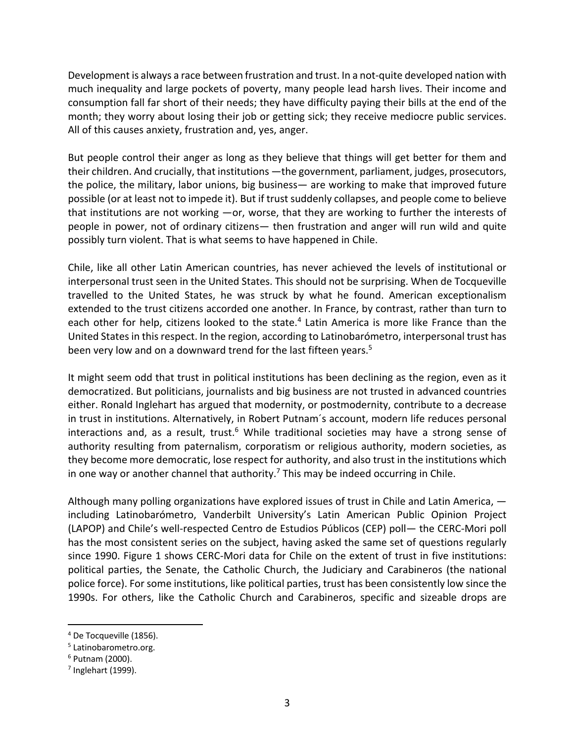Development is always a race between frustration and trust. In a not-quite developed nation with much inequality and large pockets of poverty, many people lead harsh lives. Their income and consumption fall far short of their needs; they have difficulty paying their bills at the end of the month; they worry about losing their job or getting sick; they receive mediocre public services. All of this causes anxiety, frustration and, yes, anger.

But people control their anger as long as they believe that things will get better for them and their children. And crucially, that institutions —the government, parliament, judges, prosecutors, the police, the military, labor unions, big business— are working to make that improved future possible (or at least not to impede it). But if trust suddenly collapses, and people come to believe that institutions are not working —or, worse, that they are working to further the interests of people in power, not of ordinary citizens— then frustration and anger will run wild and quite possibly turn violent. That is what seems to have happened in Chile.

Chile, like all other Latin American countries, has never achieved the levels of institutional or interpersonal trust seen in the United States. This should not be surprising. When de Tocqueville travelled to the United States, he was struck by what he found. American exceptionalism extended to the trust citizens accorded one another. In France, by contrast, rather than turn to each other for help, citizens looked to the state.<sup>4</sup> Latin America is more like France than the United States in this respect. In the region, according to Latinobarómetro, interpersonal trust has been very low and on a downward trend for the last fifteen years.<sup>5</sup>

It might seem odd that trust in political institutions has been declining as the region, even as it democratized. But politicians, journalists and big business are not trusted in advanced countries either. Ronald Inglehart has argued that modernity, or postmodernity, contribute to a decrease in trust in institutions. Alternatively, in Robert Putnam´s account, modern life reduces personal interactions and, as a result, trust.<sup>6</sup> While traditional societies may have a strong sense of authority resulting from paternalism, corporatism or religious authority, modern societies, as they become more democratic, lose respect for authority, and also trust in the institutions which in one way or another channel that authority.<sup>7</sup> This may be indeed occurring in Chile.

Although many polling organizations have explored issues of trust in Chile and Latin America, including Latinobarómetro, Vanderbilt University's Latin American Public Opinion Project (LAPOP) and Chile's well-respected Centro de Estudios Públicos (CEP) poll— the CERC-Mori poll has the most consistent series on the subject, having asked the same set of questions regularly since 1990. Figure 1 shows CERC-Mori data for Chile on the extent of trust in five institutions: political parties, the Senate, the Catholic Church, the Judiciary and Carabineros (the national police force). For some institutions, like political parties, trust has been consistently low since the 1990s. For others, like the Catholic Church and Carabineros, specific and sizeable drops are

<sup>4</sup> De Tocqueville (1856).

<sup>5</sup> Latinobarometro.org.

<sup>6</sup> Putnam (2000).

 $<sup>7</sup>$  Inglehart (1999).</sup>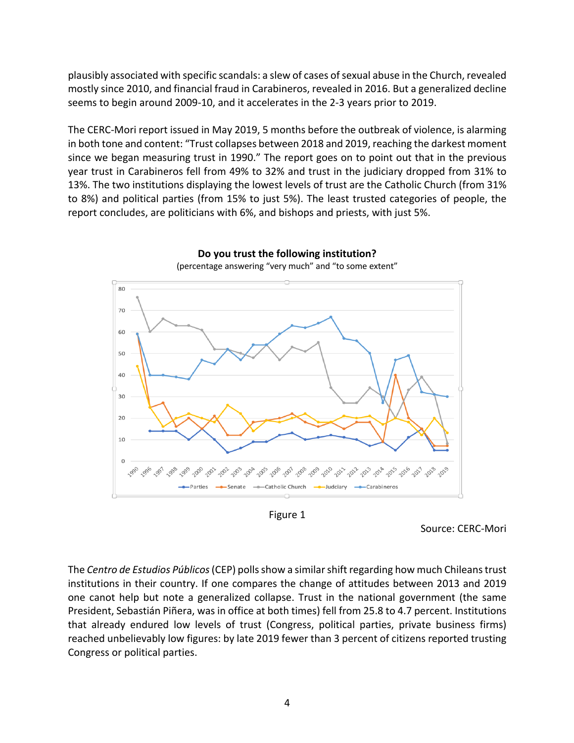plausibly associated with specific scandals: a slew of cases of sexual abuse in the Church, revealed mostly since 2010, and financial fraud in Carabineros, revealed in 2016. But a generalized decline seems to begin around 2009-10, and it accelerates in the 2-3 years prior to 2019.

The CERC-Mori report issued in May 2019, 5 months before the outbreak of violence, is alarming in both tone and content: "Trust collapses between 2018 and 2019, reaching the darkest moment since we began measuring trust in 1990." The report goes on to point out that in the previous year trust in Carabineros fell from 49% to 32% and trust in the judiciary dropped from 31% to 13%. The two institutions displaying the lowest levels of trust are the Catholic Church (from 31% to 8%) and political parties (from 15% to just 5%). The least trusted categories of people, the report concludes, are politicians with 6%, and bishops and priests, with just 5%.



**Do you trust the following institution?** (percentage answering "very much" and "to some extent"

Figure 1

Source: CERC-Mori

The *Centro de Estudios Públicos*(CEP) polls show a similar shift regarding how much Chileans trust institutions in their country. If one compares the change of attitudes between 2013 and 2019 one canot help but note a generalized collapse. Trust in the national government (the same President, Sebastián Piñera, was in office at both times) fell from 25.8 to 4.7 percent. Institutions that already endured low levels of trust (Congress, political parties, private business firms) reached unbelievably low figures: by late 2019 fewer than 3 percent of citizens reported trusting Congress or political parties.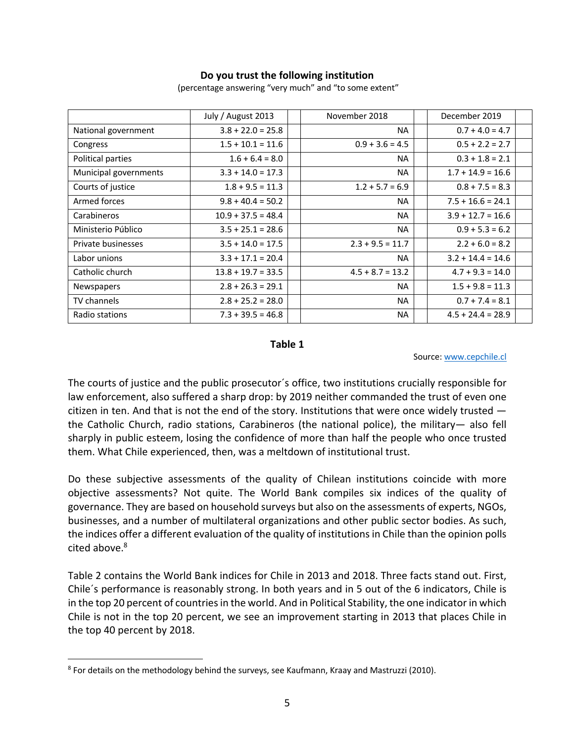# **Do you trust the following institution**

|                       | July / August 2013   | November 2018      | December 2019       |
|-----------------------|----------------------|--------------------|---------------------|
| National government   | $3.8 + 22.0 = 25.8$  | NA.                | $0.7 + 4.0 = 4.7$   |
| Congress              | $1.5 + 10.1 = 11.6$  | $0.9 + 3.6 = 4.5$  | $0.5 + 2.2 = 2.7$   |
| Political parties     | $1.6 + 6.4 = 8.0$    | <b>NA</b>          | $0.3 + 1.8 = 2.1$   |
| Municipal governments | $3.3 + 14.0 = 17.3$  | NA.                | $1.7 + 14.9 = 16.6$ |
| Courts of justice     | $1.8 + 9.5 = 11.3$   | $1.2 + 5.7 = 6.9$  | $0.8 + 7.5 = 8.3$   |
| Armed forces          | $9.8 + 40.4 = 50.2$  | <b>NA</b>          | $7.5 + 16.6 = 24.1$ |
| Carabineros           | $10.9 + 37.5 = 48.4$ | <b>NA</b>          | $3.9 + 12.7 = 16.6$ |
| Ministerio Público    | $3.5 + 25.1 = 28.6$  | <b>NA</b>          | $0.9 + 5.3 = 6.2$   |
| Private businesses    | $3.5 + 14.0 = 17.5$  | $2.3 + 9.5 = 11.7$ | $2.2 + 6.0 = 8.2$   |
| Labor unions          | $3.3 + 17.1 = 20.4$  | <b>NA</b>          | $3.2 + 14.4 = 14.6$ |
| Catholic church       | $13.8 + 19.7 = 33.5$ | $4.5 + 8.7 = 13.2$ | $4.7 + 9.3 = 14.0$  |
| Newspapers            | $2.8 + 26.3 = 29.1$  | <b>NA</b>          | $1.5 + 9.8 = 11.3$  |
| TV channels           | $2.8 + 25.2 = 28.0$  | NA.                | $0.7 + 7.4 = 8.1$   |
| Radio stations        | $7.3 + 39.5 = 46.8$  | <b>NA</b>          | $4.5 + 24.4 = 28.9$ |

(percentage answering "very much" and "to some extent"

#### **Table 1**

#### Source: www.cepchile.cl

The courts of justice and the public prosecutor´s office, two institutions crucially responsible for law enforcement, also suffered a sharp drop: by 2019 neither commanded the trust of even one citizen in ten. And that is not the end of the story. Institutions that were once widely trusted the Catholic Church, radio stations, Carabineros (the national police), the military— also fell sharply in public esteem, losing the confidence of more than half the people who once trusted them. What Chile experienced, then, was a meltdown of institutional trust.

Do these subjective assessments of the quality of Chilean institutions coincide with more objective assessments? Not quite. The World Bank compiles six indices of the quality of governance. They are based on household surveys but also on the assessments of experts, NGOs, businesses, and a number of multilateral organizations and other public sector bodies. As such, the indices offer a different evaluation of the quality of institutions in Chile than the opinion polls cited above.<sup>8</sup>

Table 2 contains the World Bank indices for Chile in 2013 and 2018. Three facts stand out. First, Chile´s performance is reasonably strong. In both years and in 5 out of the 6 indicators, Chile is in the top 20 percent of countries in the world. And in Political Stability, the one indicator in which Chile is not in the top 20 percent, we see an improvement starting in 2013 that places Chile in the top 40 percent by 2018.

<sup>8</sup> For details on the methodology behind the surveys, see Kaufmann, Kraay and Mastruzzi (2010).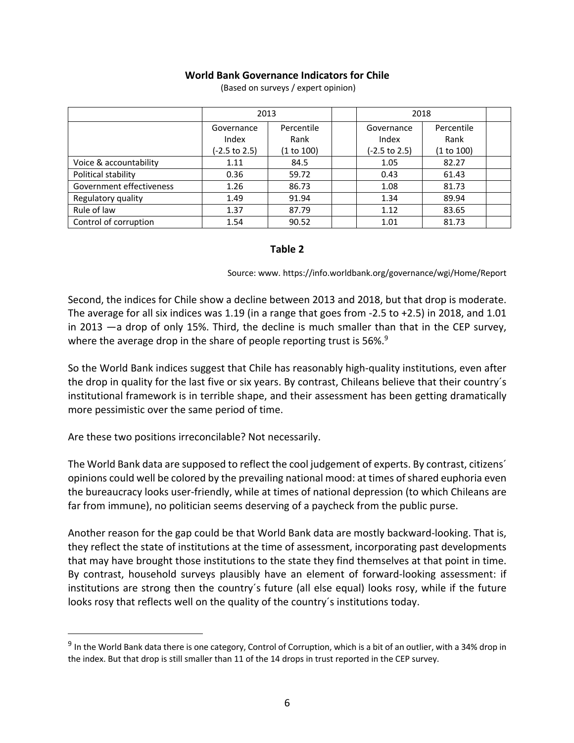# **World Bank Governance Indicators for Chile**

|                          | 2013          |            | 2018          |            |  |
|--------------------------|---------------|------------|---------------|------------|--|
|                          | Governance    | Percentile | Governance    | Percentile |  |
|                          | Index         | Rank       | Index         | Rank       |  |
|                          | (-2.5 to 2.5) | (1 to 100) | (-2.5 to 2.5) | (1 to 100) |  |
| Voice & accountability   | 1.11          | 84.5       | 1.05          | 82.27      |  |
| Political stability      | 0.36          | 59.72      | 0.43          | 61.43      |  |
| Government effectiveness | 1.26          | 86.73      | 1.08          | 81.73      |  |
| Regulatory quality       | 1.49          | 91.94      | 1.34          | 89.94      |  |
| Rule of law              | 1.37          | 87.79      | 1.12          | 83.65      |  |
| Control of corruption    | 1.54          | 90.52      | 1.01          | 81.73      |  |

(Based on surveys / expert opinion)

## **Table 2**

Source: www. https://info.worldbank.org/governance/wgi/Home/Report

Second, the indices for Chile show a decline between 2013 and 2018, but that drop is moderate. The average for all six indices was 1.19 (in a range that goes from -2.5 to +2.5) in 2018, and 1.01 in 2013 —a drop of only 15%. Third, the decline is much smaller than that in the CEP survey, where the average drop in the share of people reporting trust is 56%.<sup>9</sup>

So the World Bank indices suggest that Chile has reasonably high-quality institutions, even after the drop in quality for the last five or six years. By contrast, Chileans believe that their country´s institutional framework is in terrible shape, and their assessment has been getting dramatically more pessimistic over the same period of time.

Are these two positions irreconcilable? Not necessarily.

The World Bank data are supposed to reflect the cool judgement of experts. By contrast, citizens´ opinions could well be colored by the prevailing national mood: at times of shared euphoria even the bureaucracy looks user-friendly, while at times of national depression (to which Chileans are far from immune), no politician seems deserving of a paycheck from the public purse.

Another reason for the gap could be that World Bank data are mostly backward-looking. That is, they reflect the state of institutions at the time of assessment, incorporating past developments that may have brought those institutions to the state they find themselves at that point in time. By contrast, household surveys plausibly have an element of forward-looking assessment: if institutions are strong then the country´s future (all else equal) looks rosy, while if the future looks rosy that reflects well on the quality of the country´s institutions today.

 $9$  In the World Bank data there is one category, Control of Corruption, which is a bit of an outlier, with a 34% drop in the index. But that drop is still smaller than 11 of the 14 drops in trust reported in the CEP survey.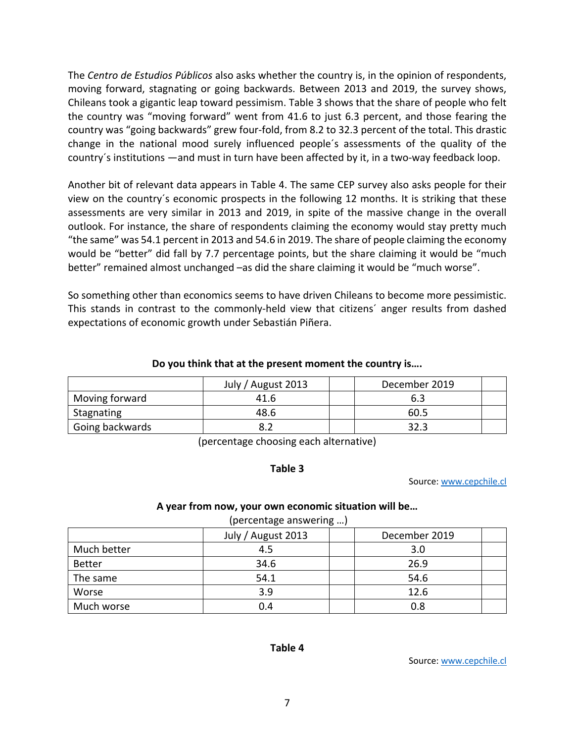The *Centro de Estudios Públicos* also asks whether the country is, in the opinion of respondents, moving forward, stagnating or going backwards. Between 2013 and 2019, the survey shows, Chileans took a gigantic leap toward pessimism. Table 3 shows that the share of people who felt the country was "moving forward" went from 41.6 to just 6.3 percent, and those fearing the country was "going backwards" grew four-fold, from 8.2 to 32.3 percent of the total. This drastic change in the national mood surely influenced people´s assessments of the quality of the country´s institutions —and must in turn have been affected by it, in a two-way feedback loop.

Another bit of relevant data appears in Table 4. The same CEP survey also asks people for their view on the country´s economic prospects in the following 12 months. It is striking that these assessments are very similar in 2013 and 2019, in spite of the massive change in the overall outlook. For instance, the share of respondents claiming the economy would stay pretty much "the same" was 54.1 percent in 2013 and 54.6 in 2019. The share of people claiming the economy would be "better" did fall by 7.7 percentage points, but the share claiming it would be "much better" remained almost unchanged –as did the share claiming it would be "much worse".

So something other than economics seems to have driven Chileans to become more pessimistic. This stands in contrast to the commonly-held view that citizens´ anger results from dashed expectations of economic growth under Sebastián Piñera.

## **Do you think that at the present moment the country is….**

|                 | July / August 2013 | December 2019 |
|-----------------|--------------------|---------------|
| Moving forward  | 41.6               | 6.3           |
| Stagnating      | 48.6               | 60.5          |
| Going backwards |                    | 32.3          |

(percentage choosing each alternative)

# **Table 3**

Source: www.cepchile.cl

### **A year from now, your own economic situation will be…**

| (percentage answering ) |                    |               |  |  |  |
|-------------------------|--------------------|---------------|--|--|--|
|                         | July / August 2013 | December 2019 |  |  |  |
| Much better             | 4.5                | 3.0           |  |  |  |
| <b>Better</b>           | 34.6               | 26.9          |  |  |  |
| The same                | 54.1               | 54.6          |  |  |  |
| Worse                   | 3.9                | 12.6          |  |  |  |
| Much worse              | 0.4                | 0.8           |  |  |  |

**Table 4**

Source: www.cepchile.cl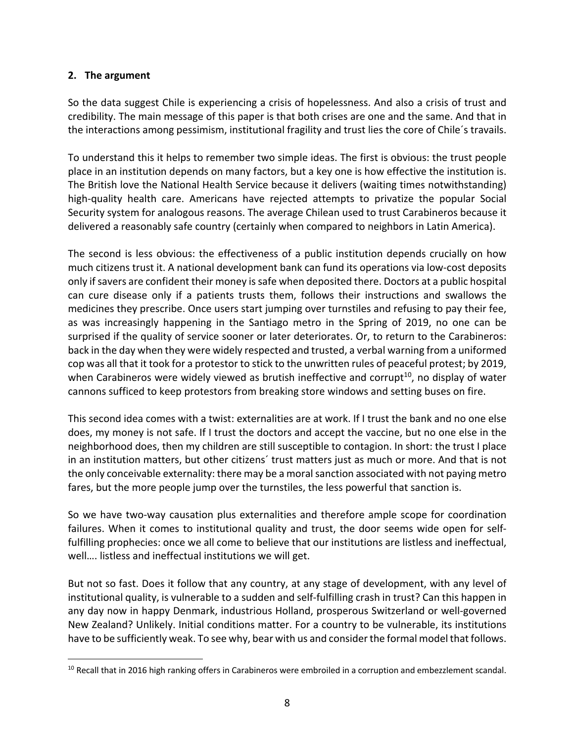# **2. The argument**

So the data suggest Chile is experiencing a crisis of hopelessness. And also a crisis of trust and credibility. The main message of this paper is that both crises are one and the same. And that in the interactions among pessimism, institutional fragility and trust lies the core of Chile´s travails.

To understand this it helps to remember two simple ideas. The first is obvious: the trust people place in an institution depends on many factors, but a key one is how effective the institution is. The British love the National Health Service because it delivers (waiting times notwithstanding) high-quality health care. Americans have rejected attempts to privatize the popular Social Security system for analogous reasons. The average Chilean used to trust Carabineros because it delivered a reasonably safe country (certainly when compared to neighbors in Latin America).

The second is less obvious: the effectiveness of a public institution depends crucially on how much citizens trust it. A national development bank can fund its operations via low-cost deposits only if savers are confident their money is safe when deposited there. Doctors at a public hospital can cure disease only if a patients trusts them, follows their instructions and swallows the medicines they prescribe. Once users start jumping over turnstiles and refusing to pay their fee, as was increasingly happening in the Santiago metro in the Spring of 2019, no one can be surprised if the quality of service sooner or later deteriorates. Or, to return to the Carabineros: back in the day when they were widely respected and trusted, a verbal warning from a uniformed cop was all that it took for a protestor to stick to the unwritten rules of peaceful protest; by 2019, when Carabineros were widely viewed as brutish ineffective and corrupt<sup>10</sup>, no display of water cannons sufficed to keep protestors from breaking store windows and setting buses on fire.

This second idea comes with a twist: externalities are at work. If I trust the bank and no one else does, my money is not safe. If I trust the doctors and accept the vaccine, but no one else in the neighborhood does, then my children are still susceptible to contagion. In short: the trust I place in an institution matters, but other citizens´ trust matters just as much or more. And that is not the only conceivable externality: there may be a moral sanction associated with not paying metro fares, but the more people jump over the turnstiles, the less powerful that sanction is.

So we have two-way causation plus externalities and therefore ample scope for coordination failures. When it comes to institutional quality and trust, the door seems wide open for selffulfilling prophecies: once we all come to believe that our institutions are listless and ineffectual, well…. listless and ineffectual institutions we will get.

But not so fast. Does it follow that any country, at any stage of development, with any level of institutional quality, is vulnerable to a sudden and self-fulfilling crash in trust? Can this happen in any day now in happy Denmark, industrious Holland, prosperous Switzerland or well-governed New Zealand? Unlikely. Initial conditions matter. For a country to be vulnerable, its institutions have to be sufficiently weak. To see why, bear with us and consider the formal model that follows.

<sup>&</sup>lt;sup>10</sup> Recall that in 2016 high ranking offers in Carabineros were embroiled in a corruption and embezzlement scandal.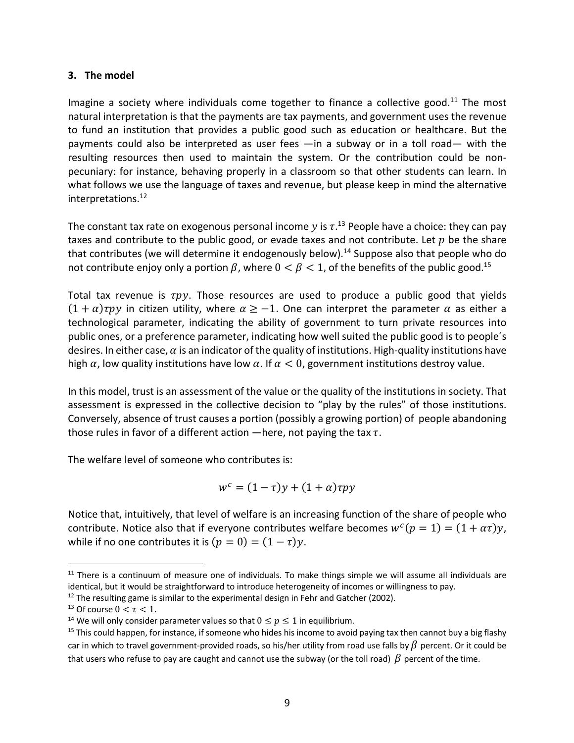# **3. The model**

Imagine a society where individuals come together to finance a collective good.<sup>11</sup> The most natural interpretation is that the payments are tax payments, and government uses the revenue to fund an institution that provides a public good such as education or healthcare. But the payments could also be interpreted as user fees —in a subway or in a toll road— with the resulting resources then used to maintain the system. Or the contribution could be nonpecuniary: for instance, behaving properly in a classroom so that other students can learn. In what follows we use the language of taxes and revenue, but please keep in mind the alternative interpretations.12

The constant tax rate on exogenous personal income y is  $\tau$ .<sup>13</sup> People have a choice: they can pay taxes and contribute to the public good, or evade taxes and not contribute. Let  $p$  be the share that contributes (we will determine it endogenously below). <sup>14</sup> Suppose also that people who do not contribute enjoy only a portion  $\beta$ , where  $0 < \beta < 1$ , of the benefits of the public good.<sup>15</sup>

Total tax revenue is  $\tau py$ . Those resources are used to produce a public good that yields  $(1 + \alpha)$ rpy in citizen utility, where  $\alpha \ge -1$ . One can interpret the parameter  $\alpha$  as either a technological parameter, indicating the ability of government to turn private resources into public ones, or a preference parameter, indicating how well suited the public good is to people´s desires. In either case,  $\alpha$  is an indicator of the quality of institutions. High-quality institutions have high  $\alpha$ , low quality institutions have low  $\alpha$ . If  $\alpha < 0$ , government institutions destroy value.

In this model, trust is an assessment of the value or the quality of the institutions in society. That assessment is expressed in the collective decision to "play by the rules" of those institutions. Conversely, absence of trust causes a portion (possibly a growing portion) of people abandoning those rules in favor of a different action  $-\text{here}$ , not paying the tax  $\tau$ .

The welfare level of someone who contributes is:

$$
w^c = (1 - \tau)y + (1 + \alpha)\tau py
$$

Notice that, intuitively, that level of welfare is an increasing function of the share of people who contribute. Notice also that if everyone contributes welfare becomes  $w^c(p = 1) = (1 + \alpha \tau)y$ , while if no one contributes it is  $(p = 0) = (1 - \tau)y$ .

 $11$  There is a continuum of measure one of individuals. To make things simple we will assume all individuals are identical, but it would be straightforward to introduce heterogeneity of incomes or willingness to pay.

 $12$  The resulting game is similar to the experimental design in Fehr and Gatcher (2002).

<sup>&</sup>lt;sup>13</sup> Of course  $0 < \tau < 1$ .

<sup>&</sup>lt;sup>14</sup> We will only consider parameter values so that  $0 \le p \le 1$  in equilibrium.

 $15$  This could happen, for instance, if someone who hides his income to avoid paying tax then cannot buy a big flashy car in which to travel government-provided roads, so his/her utility from road use falls by  $\beta$  percent. Or it could be that users who refuse to pay are caught and cannot use the subway (or the toll road)  $\beta$  percent of the time.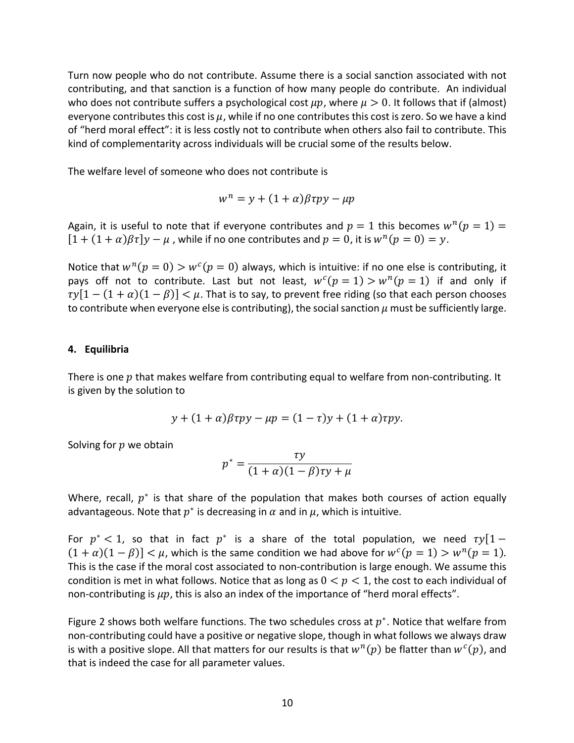Turn now people who do not contribute. Assume there is a social sanction associated with not contributing, and that sanction is a function of how many people do contribute. An individual who does not contribute suffers a psychological cost  $\mu p$ , where  $\mu > 0$ . It follows that if (almost) everyone contributes this cost is  $\mu$ , while if no one contributes this cost is zero. So we have a kind of "herd moral effect": it is less costly not to contribute when others also fail to contribute. This kind of complementarity across individuals will be crucial some of the results below.

The welfare level of someone who does not contribute is

$$
w^n = y + (1 + \alpha)\beta \tau py - \mu p
$$

Again, it is useful to note that if everyone contributes and  $p = 1$  this becomes  $w^n(p = 1) =$  $[1 + (1 + \alpha)\beta\tau]y - \mu$ , while if no one contributes and  $p = 0$ , it is  $w^{n}(p = 0) = y$ .

Notice that  $w^n(p = 0) > w^c(p = 0)$  always, which is intuitive: if no one else is contributing, it pays off not to contribute. Last but not least,  $w^c(p = 1) > w^n(p = 1)$  if and only if  $\tau y[1 - (1 + \alpha)(1 - \beta)] < \mu$ . That is to say, to prevent free riding (so that each person chooses to contribute when everyone else is contributing), the social sanction  $\mu$  must be sufficiently large.

### **4. Equilibria**

There is one  $p$  that makes welfare from contributing equal to welfare from non-contributing. It is given by the solution to

$$
y + (1 + \alpha)\beta \tau py - \mu p = (1 - \tau)y + (1 + \alpha)\tau py.
$$

Solving for  $p$  we obtain

$$
p^* = \frac{\tau y}{(1+\alpha)(1-\beta)\tau y + \mu}
$$

Where, recall,  $p^*$  is that share of the population that makes both courses of action equally advantageous. Note that  $p^*$  is decreasing in  $\alpha$  and in  $\mu$ , which is intuitive.

For  $p^* < 1$ , so that in fact  $p^*$  is a share of the total population, we need  $\tau y[1 (1 + \alpha)(1 - \beta)$  <  $\mu$ , which is the same condition we had above for  $w^c(p = 1) > w^n(p = 1)$ . This is the case if the moral cost associated to non-contribution is large enough. We assume this condition is met in what follows. Notice that as long as  $0 < p < 1$ , the cost to each individual of non-contributing is  $\mu p$ , this is also an index of the importance of "herd moral effects".

Figure 2 shows both welfare functions. The two schedules cross at  $p^*$ . Notice that welfare from non-contributing could have a positive or negative slope, though in what follows we always draw is with a positive slope. All that matters for our results is that  $w^{n}(p)$  be flatter than  $w^{c}(p)$ , and that is indeed the case for all parameter values.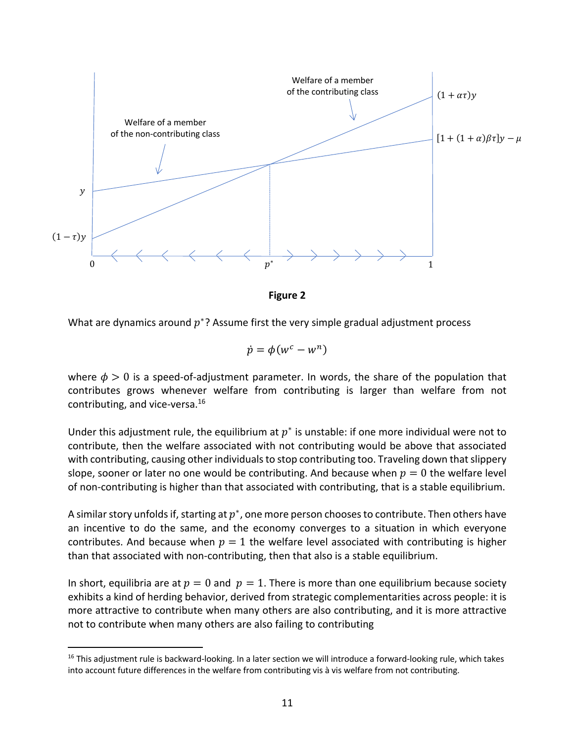

**Figure 2**

What are dynamics around  $p^*$ ? Assume first the very simple gradual adjustment process

$$
\dot{p} = \phi(w^c - w^n)
$$

where  $\phi > 0$  is a speed-of-adjustment parameter. In words, the share of the population that contributes grows whenever welfare from contributing is larger than welfare from not contributing, and vice-versa.16

Under this adjustment rule, the equilibrium at  $p^*$  is unstable: if one more individual were not to contribute, then the welfare associated with not contributing would be above that associated with contributing, causing other individuals to stop contributing too. Traveling down that slippery slope, sooner or later no one would be contributing. And because when  $p = 0$  the welfare level of non-contributing is higher than that associated with contributing, that is a stable equilibrium.

A similar story unfolds if, starting at  $p^*$ , one more person chooses to contribute. Then others have an incentive to do the same, and the economy converges to a situation in which everyone contributes. And because when  $p = 1$  the welfare level associated with contributing is higher than that associated with non-contributing, then that also is a stable equilibrium.

In short, equilibria are at  $p = 0$  and  $p = 1$ . There is more than one equilibrium because society exhibits a kind of herding behavior, derived from strategic complementarities across people: it is more attractive to contribute when many others are also contributing, and it is more attractive not to contribute when many others are also failing to contributing

<sup>&</sup>lt;sup>16</sup> This adjustment rule is backward-looking. In a later section we will introduce a forward-looking rule, which takes into account future differences in the welfare from contributing vis à vis welfare from not contributing.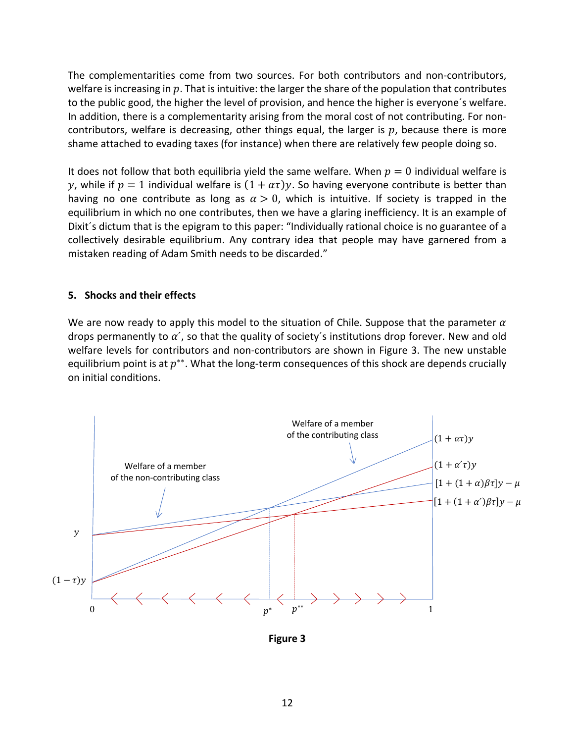The complementarities come from two sources. For both contributors and non-contributors, welfare is increasing in  $p$ . That is intuitive: the larger the share of the population that contributes to the public good, the higher the level of provision, and hence the higher is everyone´s welfare. In addition, there is a complementarity arising from the moral cost of not contributing. For noncontributors, welfare is decreasing, other things equal, the larger is  $p$ , because there is more shame attached to evading taxes (for instance) when there are relatively few people doing so.

It does not follow that both equilibria yield the same welfare. When  $p = 0$  individual welfare is y, while if  $p = 1$  individual welfare is  $(1 + \alpha \tau)y$ . So having everyone contribute is better than having no one contribute as long as  $\alpha > 0$ , which is intuitive. If society is trapped in the equilibrium in which no one contributes, then we have a glaring inefficiency. It is an example of Dixit´s dictum that is the epigram to this paper: "Individually rational choice is no guarantee of a collectively desirable equilibrium. Any contrary idea that people may have garnered from a mistaken reading of Adam Smith needs to be discarded."

### **5. Shocks and their effects**

We are now ready to apply this model to the situation of Chile. Suppose that the parameter  $\alpha$ drops permanently to  $\alpha'$ , so that the quality of society's institutions drop forever. New and old welfare levels for contributors and non-contributors are shown in Figure 3. The new unstable equilibrium point is at  $p^{**}$ . What the long-term consequences of this shock are depends crucially on initial conditions.



**Figure 3**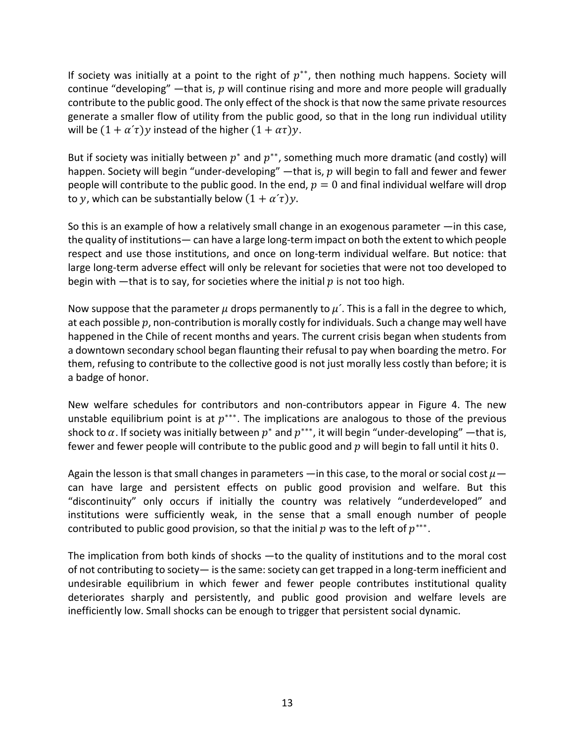If society was initially at a point to the right of  $p^{**}$ , then nothing much happens. Society will continue "developing" —that is,  $p$  will continue rising and more and more people will gradually contribute to the public good. The only effect of the shock is that now the same private resources generate a smaller flow of utility from the public good, so that in the long run individual utility will be  $(1 + \alpha' \tau)y$  instead of the higher  $(1 + \alpha \tau)y$ .

But if society was initially between  $p^*$  and  $p^{**}$ , something much more dramatic (and costly) will happen. Society will begin "under-developing" —that is,  $p$  will begin to fall and fewer and fewer people will contribute to the public good. In the end,  $p = 0$  and final individual welfare will drop to y, which can be substantially below  $(1 + \alpha' \tau)y$ .

So this is an example of how a relatively small change in an exogenous parameter —in this case, the quality of institutions— can have a large long-term impact on both the extent to which people respect and use those institutions, and once on long-term individual welfare. But notice: that large long-term adverse effect will only be relevant for societies that were not too developed to begin with —that is to say, for societies where the initial  $p$  is not too high.

Now suppose that the parameter  $\mu$  drops permanently to  $\mu'$ . This is a fall in the degree to which, at each possible  $p$ , non-contribution is morally costly for individuals. Such a change may well have happened in the Chile of recent months and years. The current crisis began when students from a downtown secondary school began flaunting their refusal to pay when boarding the metro. For them, refusing to contribute to the collective good is not just morally less costly than before; it is a badge of honor.

New welfare schedules for contributors and non-contributors appear in Figure 4. The new unstable equilibrium point is at  $p^{***}$ . The implications are analogous to those of the previous shock to  $\alpha$ . If society was initially between  $p^*$  and  $p^{***}$ , it will begin "under-developing" —that is, fewer and fewer people will contribute to the public good and  $p$  will begin to fall until it hits 0.

Again the lesson is that small changes in parameters —in this case, to the moral or social cost  $\mu$  can have large and persistent effects on public good provision and welfare. But this "discontinuity" only occurs if initially the country was relatively "underdeveloped" and institutions were sufficiently weak, in the sense that a small enough number of people contributed to public good provision, so that the initial  $p$  was to the left of  $p^{***}$ .

The implication from both kinds of shocks —to the quality of institutions and to the moral cost of not contributing to society— is the same: society can get trapped in a long-term inefficient and undesirable equilibrium in which fewer and fewer people contributes institutional quality deteriorates sharply and persistently, and public good provision and welfare levels are inefficiently low. Small shocks can be enough to trigger that persistent social dynamic.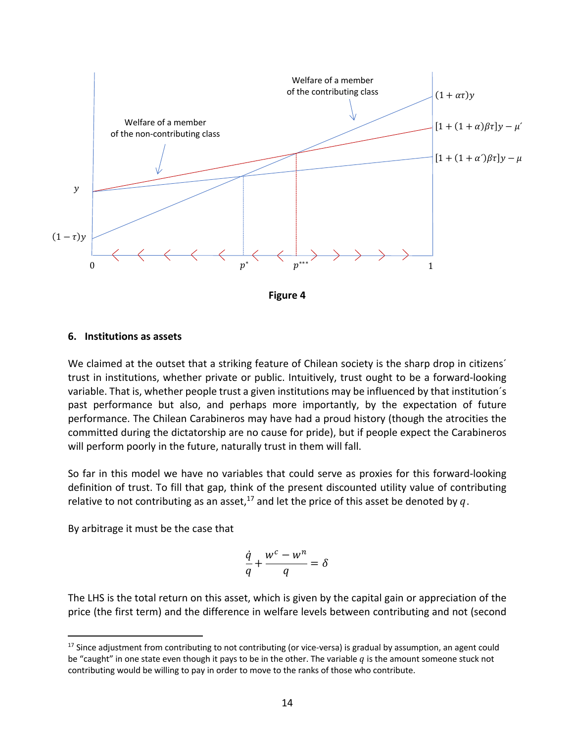

#### **6. Institutions as assets**

We claimed at the outset that a striking feature of Chilean society is the sharp drop in citizens<sup>'</sup> trust in institutions, whether private or public. Intuitively, trust ought to be a forward-looking variable. That is, whether people trust a given institutions may be influenced by that institution´s past performance but also, and perhaps more importantly, by the expectation of future performance. The Chilean Carabineros may have had a proud history (though the atrocities the committed during the dictatorship are no cause for pride), but if people expect the Carabineros will perform poorly in the future, naturally trust in them will fall.

So far in this model we have no variables that could serve as proxies for this forward-looking definition of trust. To fill that gap, think of the present discounted utility value of contributing relative to not contributing as an asset,<sup>17</sup> and let the price of this asset be denoted by q.

By arbitrage it must be the case that

$$
\frac{\dot{q}}{q} + \frac{w^c - w^n}{q} = \delta
$$

The LHS is the total return on this asset, which is given by the capital gain or appreciation of the price (the first term) and the difference in welfare levels between contributing and not (second

<sup>&</sup>lt;sup>17</sup> Since adjustment from contributing to not contributing (or vice-versa) is gradual by assumption, an agent could be "caught" in one state even though it pays to be in the other. The variable  $q$  is the amount someone stuck not contributing would be willing to pay in order to move to the ranks of those who contribute.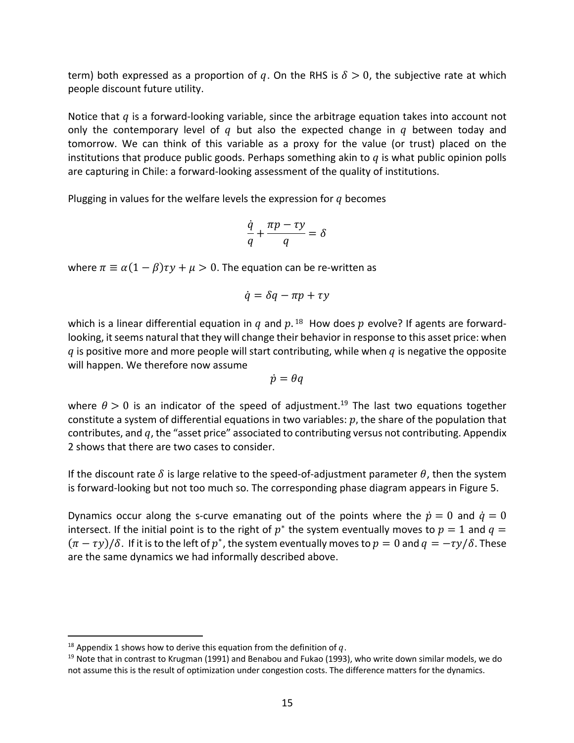term) both expressed as a proportion of q. On the RHS is  $\delta > 0$ , the subjective rate at which people discount future utility.

Notice that  $q$  is a forward-looking variable, since the arbitrage equation takes into account not only the contemporary level of  $q$  but also the expected change in  $q$  between today and tomorrow. We can think of this variable as a proxy for the value (or trust) placed on the institutions that produce public goods. Perhaps something akin to  $q$  is what public opinion polls are capturing in Chile: a forward-looking assessment of the quality of institutions.

Plugging in values for the welfare levels the expression for  $q$  becomes

$$
\frac{\dot{q}}{q} + \frac{\pi p - \tau y}{q} = \delta
$$

where  $\pi \equiv \alpha (1 - \beta) \tau y + \mu > 0$ . The equation can be re-written as

$$
\dot{q} = \delta q - \pi p + \tau y
$$

which is a linear differential equation in q and  $p<sup>18</sup>$ . How does p evolve? If agents are forwardlooking, it seems natural that they will change their behavior in response to this asset price: when q is positive more and more people will start contributing, while when  $q$  is negative the opposite will happen. We therefore now assume

$$
\dot{p} = \theta q
$$

where  $\theta > 0$  is an indicator of the speed of adjustment.<sup>19</sup> The last two equations together constitute a system of differential equations in two variables:  $p$ , the share of the population that contributes, and  $q$ , the "asset price" associated to contributing versus not contributing. Appendix 2 shows that there are two cases to consider.

If the discount rate  $\delta$  is large relative to the speed-of-adjustment parameter  $\theta$ , then the system is forward-looking but not too much so. The corresponding phase diagram appears in Figure 5.

Dynamics occur along the s-curve emanating out of the points where the  $\dot{p} = 0$  and  $\dot{q} = 0$ intersect. If the initial point is to the right of  $p^*$  the system eventually moves to  $p = 1$  and  $q =$  $(\pi - \tau y)/\delta$ . If it is to the left of p<sup>\*</sup>, the system eventually moves to  $p = 0$  and  $q = -\tau y/\delta$ . These are the same dynamics we had informally described above.

<sup>&</sup>lt;sup>18</sup> Appendix 1 shows how to derive this equation from the definition of  $q$ .

 $19$  Note that in contrast to Krugman (1991) and Benabou and Fukao (1993), who write down similar models, we do not assume this is the result of optimization under congestion costs. The difference matters for the dynamics.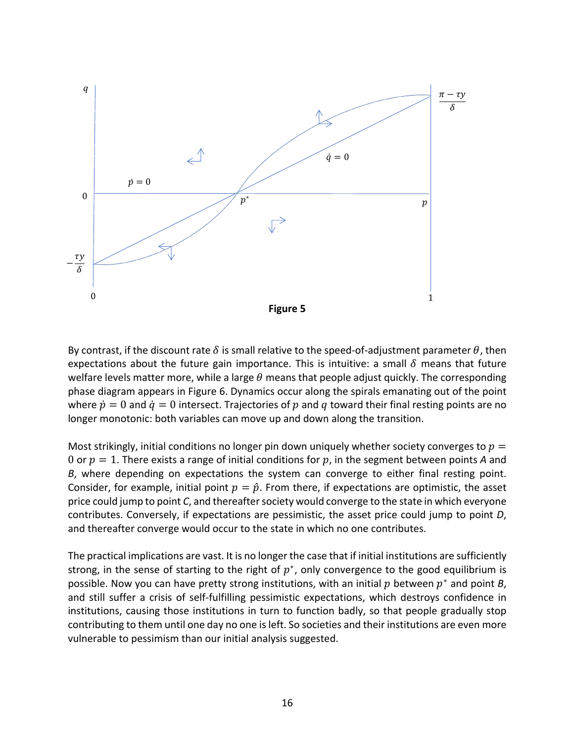

By contrast, if the discount rate  $\delta$  is small relative to the speed-of-adjustment parameter  $\theta$ , then expectations about the future gain importance. This is intuitive: a small  $\delta$  means that future welfare levels matter more, while a large  $\theta$  means that people adjust quickly. The corresponding phase diagram appears in Figure 6. Dynamics occur along the spirals emanating out of the point where  $\dot{p} = 0$  and  $\dot{q} = 0$  intersect. Trajectories of p and q toward their final resting points are no longer monotonic: both variables can move up and down along the transition.

Most strikingly, initial conditions no longer pin down uniquely whether society converges to  $p =$ 0 or  $p = 1$ . There exists a range of initial conditions for p, in the segment between points A and *B*, where depending on expectations the system can converge to either final resting point. Consider, for example, initial point  $p = \hat{p}$ . From there, if expectations are optimistic, the asset price could jump to point *C*, and thereafter society would converge to the state in which everyone contributes. Conversely, if expectations are pessimistic, the asset price could jump to point *D*, and thereafter converge would occur to the state in which no one contributes.

The practical implications are vast. It is no longer the case that if initial institutions are sufficiently strong, in the sense of starting to the right of  $p^*$ , only convergence to the good equilibrium is possible. Now you can have pretty strong institutions, with an initial  $p$  between  $p^*$  and point  $B$ , and still suffer a crisis of self-fulfilling pessimistic expectations, which destroys confidence in institutions, causing those institutions in turn to function badly, so that people gradually stop contributing to them until one day no one is left. So societies and their institutions are even more vulnerable to pessimism than our initial analysis suggested.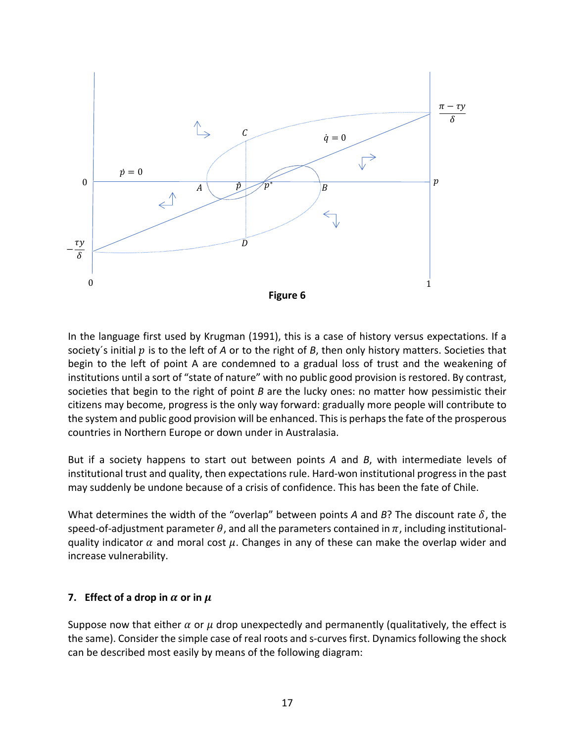

In the language first used by Krugman (1991), this is a case of history versus expectations. If a society's initial p is to the left of *A* or to the right of *B*, then only history matters. Societies that begin to the left of point A are condemned to a gradual loss of trust and the weakening of institutions until a sort of "state of nature" with no public good provision is restored. By contrast, societies that begin to the right of point *B* are the lucky ones: no matter how pessimistic their citizens may become, progress is the only way forward: gradually more people will contribute to the system and public good provision will be enhanced. This is perhaps the fate of the prosperous countries in Northern Europe or down under in Australasia.

But if a society happens to start out between points *A* and *B*, with intermediate levels of institutional trust and quality, then expectations rule. Hard-won institutional progress in the past may suddenly be undone because of a crisis of confidence. This has been the fate of Chile.

What determines the width of the "overlap" between points *A* and *B*? The discount rate  $\delta$ , the speed-of-adjustment parameter  $\theta$ , and all the parameters contained in  $\pi$ , including institutionalquality indicator  $\alpha$  and moral cost  $\mu$ . Changes in any of these can make the overlap wider and increase vulnerability.

# **7. Effect of a drop in**  $\alpha$  or in  $\mu$

Suppose now that either  $\alpha$  or  $\mu$  drop unexpectedly and permanently (qualitatively, the effect is the same). Consider the simple case of real roots and s-curves first. Dynamics following the shock can be described most easily by means of the following diagram: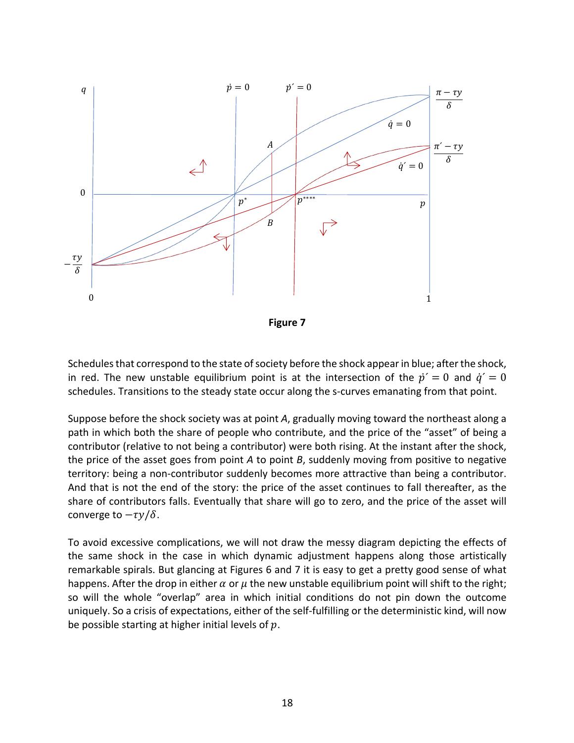

**Figure 7**

Schedules that correspond to the state of society before the shock appear in blue; after the shock, in red. The new unstable equilibrium point is at the intersection of the  $\dot{p}' = 0$  and  $\dot{q}' = 0$ schedules. Transitions to the steady state occur along the s-curves emanating from that point.

Suppose before the shock society was at point *A*, gradually moving toward the northeast along a path in which both the share of people who contribute, and the price of the "asset" of being a contributor (relative to not being a contributor) were both rising. At the instant after the shock, the price of the asset goes from point *A* to point *B*, suddenly moving from positive to negative territory: being a non-contributor suddenly becomes more attractive than being a contributor. And that is not the end of the story: the price of the asset continues to fall thereafter, as the share of contributors falls. Eventually that share will go to zero, and the price of the asset will converge to  $-\tau y/\delta$ .

To avoid excessive complications, we will not draw the messy diagram depicting the effects of the same shock in the case in which dynamic adjustment happens along those artistically remarkable spirals. But glancing at Figures 6 and 7 it is easy to get a pretty good sense of what happens. After the drop in either  $\alpha$  or  $\mu$  the new unstable equilibrium point will shift to the right; so will the whole "overlap" area in which initial conditions do not pin down the outcome uniquely. So a crisis of expectations, either of the self-fulfilling or the deterministic kind, will now be possible starting at higher initial levels of  $p$ .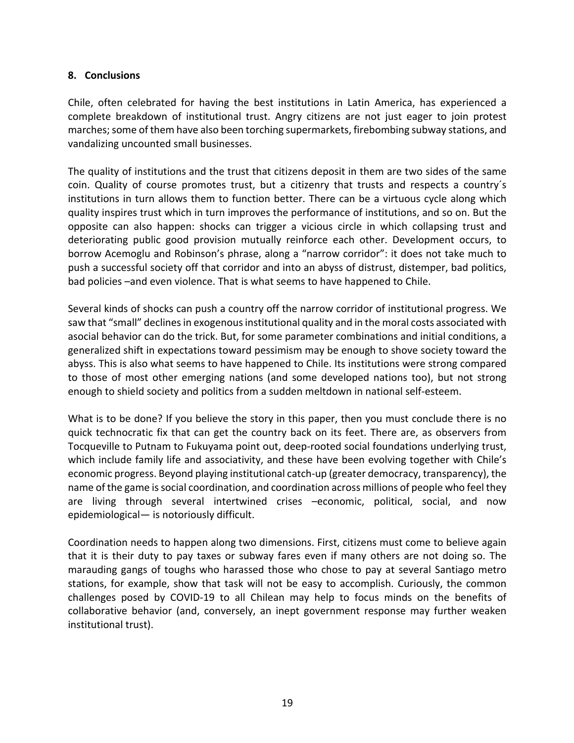# **8. Conclusions**

Chile, often celebrated for having the best institutions in Latin America, has experienced a complete breakdown of institutional trust. Angry citizens are not just eager to join protest marches; some of them have also been torching supermarkets, firebombing subway stations, and vandalizing uncounted small businesses.

The quality of institutions and the trust that citizens deposit in them are two sides of the same coin. Quality of course promotes trust, but a citizenry that trusts and respects a country´s institutions in turn allows them to function better. There can be a virtuous cycle along which quality inspires trust which in turn improves the performance of institutions, and so on. But the opposite can also happen: shocks can trigger a vicious circle in which collapsing trust and deteriorating public good provision mutually reinforce each other. Development occurs, to borrow Acemoglu and Robinson's phrase, along a "narrow corridor": it does not take much to push a successful society off that corridor and into an abyss of distrust, distemper, bad politics, bad policies –and even violence. That is what seems to have happened to Chile.

Several kinds of shocks can push a country off the narrow corridor of institutional progress. We saw that "small" declines in exogenous institutional quality and in the moral costs associated with asocial behavior can do the trick. But, for some parameter combinations and initial conditions, a generalized shift in expectations toward pessimism may be enough to shove society toward the abyss. This is also what seems to have happened to Chile. Its institutions were strong compared to those of most other emerging nations (and some developed nations too), but not strong enough to shield society and politics from a sudden meltdown in national self-esteem.

What is to be done? If you believe the story in this paper, then you must conclude there is no quick technocratic fix that can get the country back on its feet. There are, as observers from Tocqueville to Putnam to Fukuyama point out, deep-rooted social foundations underlying trust, which include family life and associativity, and these have been evolving together with Chile's economic progress. Beyond playing institutional catch-up (greater democracy, transparency), the name of the game is social coordination, and coordination across millions of people who feel they are living through several intertwined crises –economic, political, social, and now epidemiological— is notoriously difficult.

Coordination needs to happen along two dimensions. First, citizens must come to believe again that it is their duty to pay taxes or subway fares even if many others are not doing so. The marauding gangs of toughs who harassed those who chose to pay at several Santiago metro stations, for example, show that task will not be easy to accomplish. Curiously, the common challenges posed by COVID-19 to all Chilean may help to focus minds on the benefits of collaborative behavior (and, conversely, an inept government response may further weaken institutional trust).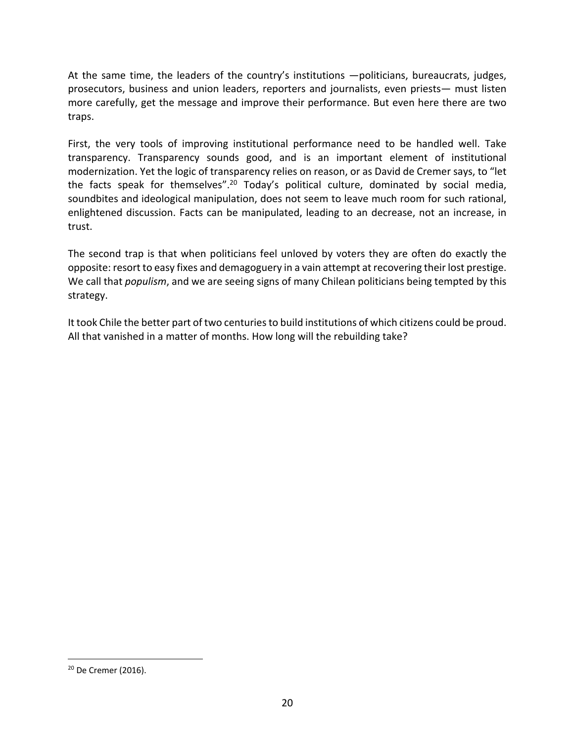At the same time, the leaders of the country's institutions —politicians, bureaucrats, judges, prosecutors, business and union leaders, reporters and journalists, even priests— must listen more carefully, get the message and improve their performance. But even here there are two traps.

First, the very tools of improving institutional performance need to be handled well. Take transparency. Transparency sounds good, and is an important element of institutional modernization. Yet the logic of transparency relies on reason, or as David de Cremer says, to "let the facts speak for themselves".<sup>20</sup> Today's political culture, dominated by social media, soundbites and ideological manipulation, does not seem to leave much room for such rational, enlightened discussion. Facts can be manipulated, leading to an decrease, not an increase, in trust.

The second trap is that when politicians feel unloved by voters they are often do exactly the opposite: resort to easy fixes and demagoguery in a vain attempt at recovering their lost prestige. We call that *populism*, and we are seeing signs of many Chilean politicians being tempted by this strategy.

It took Chile the better part of two centuries to build institutions of which citizens could be proud. All that vanished in a matter of months. How long will the rebuilding take?

<sup>20</sup> De Cremer (2016).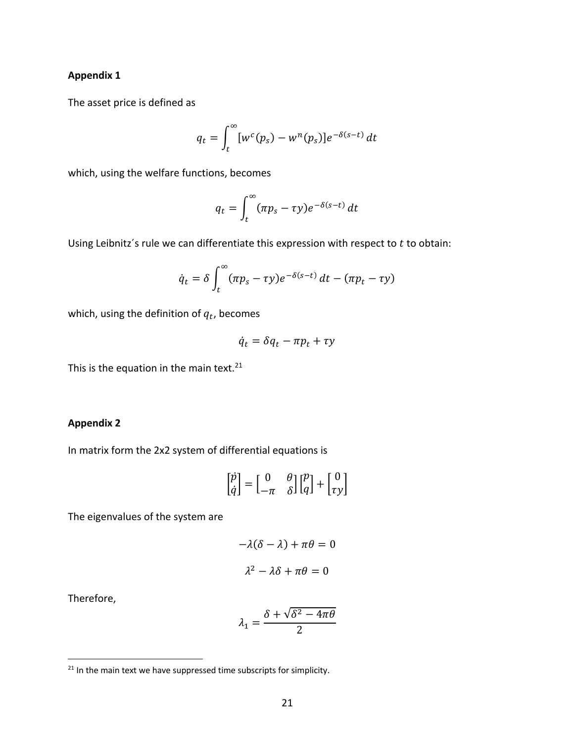#### **Appendix 1**

The asset price is defined as

$$
q_t = \int_t^{\infty} [w^c(p_s) - w^n(p_s)]e^{-\delta(s-t)} dt
$$

which, using the welfare functions, becomes

$$
q_t = \int_t^\infty (\pi p_s - \tau y) e^{-\delta(s-t)} dt
$$

Using Leibnitz's rule we can differentiate this expression with respect to  $t$  to obtain:

$$
\dot{q}_t = \delta \int_t^{\infty} (\pi p_s - \tau y) e^{-\delta(s-t)} dt - (\pi p_t - \tau y)
$$

which, using the definition of  $q_t$ , becomes

$$
\dot{q}_t = \delta q_t - \pi p_t + \tau y
$$

This is the equation in the main text. $21$ 

# **Appendix 2**

In matrix form the 2x2 system of differential equations is

$$
\begin{bmatrix} \dot{p} \\ \dot{q} \end{bmatrix} = \begin{bmatrix} 0 & \theta \\ -\pi & \delta \end{bmatrix} \begin{bmatrix} p \\ q \end{bmatrix} + \begin{bmatrix} 0 \\ \tau y \end{bmatrix}
$$

The eigenvalues of the system are

$$
-\lambda(\delta - \lambda) + \pi\theta = 0
$$

$$
\lambda^2 - \lambda\delta + \pi\theta = 0
$$

Therefore,

$$
\lambda_1 = \frac{\delta + \sqrt{\delta^2 - 4\pi\theta}}{2}
$$

 $21$  In the main text we have suppressed time subscripts for simplicity.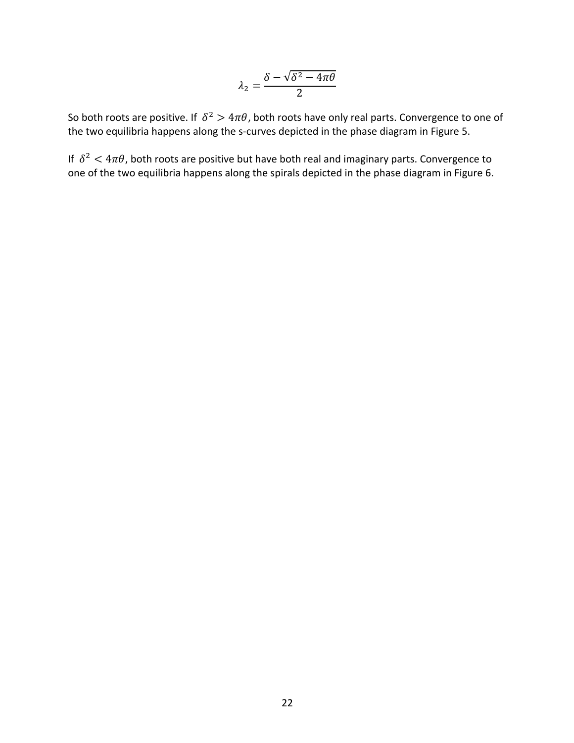$$
\lambda_2 = \frac{\delta - \sqrt{\delta^2 - 4\pi\theta}}{2}
$$

So both roots are positive. If  $\delta^2 > 4\pi\theta$ , both roots have only real parts. Convergence to one of the two equilibria happens along the s-curves depicted in the phase diagram in Figure 5.

If  $\delta^2 < 4\pi\theta$ , both roots are positive but have both real and imaginary parts. Convergence to one of the two equilibria happens along the spirals depicted in the phase diagram in Figure 6.